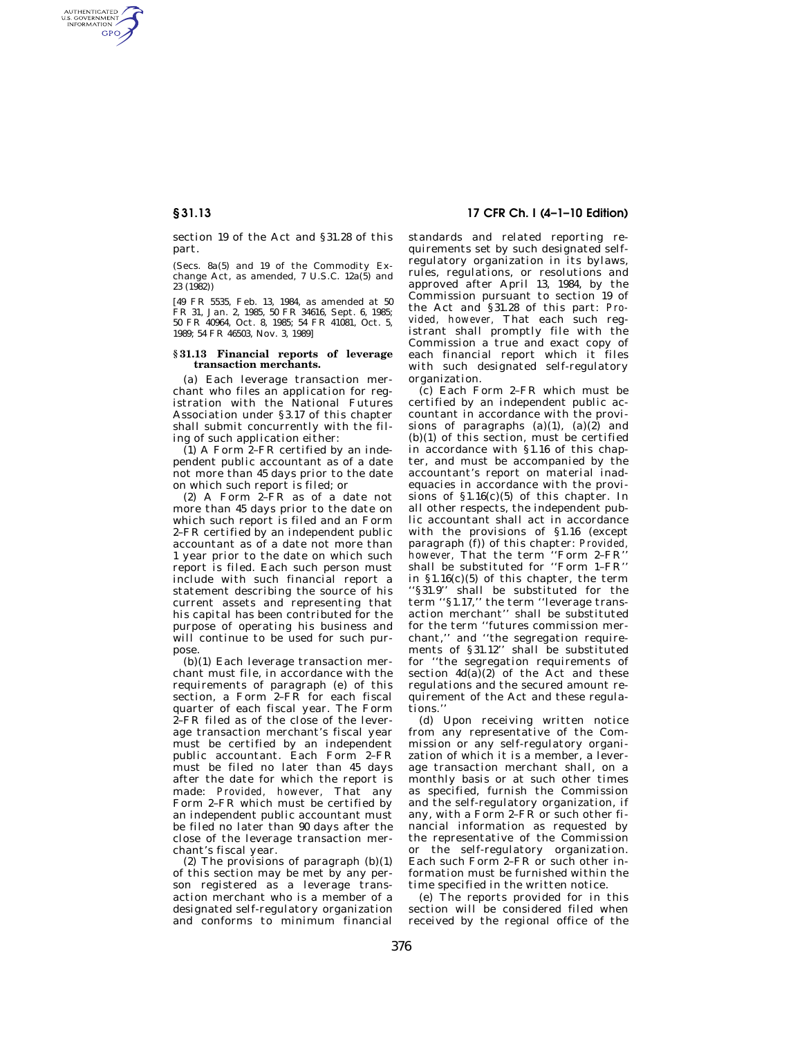AUTHENTICATED<br>U.S. GOVERNMENT<br>INFORMATION **GPO** 

> section 19 of the Act and §31.28 of this part.

(Secs. 8a(5) and 19 of the Commodity Exchange Act, as amended,  $7 \text{ U.S.C. } 12a(5)$  and 23 (1982))

[49 FR 5535, Feb. 13, 1984, as amended at 50 FR 31, Jan. 2, 1985, 50 FR 34616, Sept. 6, 1985; 50 FR 40964, Oct. 8, 1985; 54 FR 41081, Oct. 5, 1989; 54 FR 46503, Nov. 3, 1989]

## **§ 31.13 Financial reports of leverage transaction merchants.**

(a) Each leverage transaction merchant who files an application for registration with the National Futures Association under §3.17 of this chapter shall submit concurrently with the filing of such application either:

 $(1)$  A Form  $2$ -FR certified by an independent public accountant as of a date not more than 45 days prior to the date on which such report is filed; or

(2) A Form 2–FR as of a date not more than 45 days prior to the date on which such report is filed and an Form 2–FR certified by an independent public accountant as of a date not more than 1 year prior to the date on which such report is filed. Each such person must include with such financial report a statement describing the source of his current assets and representing that his capital has been contributed for the purpose of operating his business and will continue to be used for such purpose.

(b)(1) Each leverage transaction merchant must file, in accordance with the requirements of paragraph (e) of this section, a Form 2–FR for each fiscal quarter of each fiscal year. The Form 2–FR filed as of the close of the leverage transaction merchant's fiscal year must be certified by an independent public accountant. Each Form 2–FR must be filed no later than 45 days after the date for which the report is made: *Provided, however,* That any Form 2–FR which must be certified by an independent public accountant must be filed no later than 90 days after the close of the leverage transaction merchant's fiscal year.

(2) The provisions of paragraph  $(b)(1)$ of this section may be met by any person registered as a leverage transaction merchant who is a member of a designated self-regulatory organization and conforms to minimum financial

## **§ 31.13 17 CFR Ch. I (4–1–10 Edition)**

standards and related reporting requirements set by such designated selfregulatory organization in its bylaws, rules, regulations, or resolutions and approved after April 13, 1984, by the Commission pursuant to section 19 of the Act and §31.28 of this part: *Provided, however,* That each such registrant shall promptly file with the Commission a true and exact copy of each financial report which it files with such designated self-regulatory organization.

(c) Each Form 2–FR which must be certified by an independent public accountant in accordance with the provisions of paragraphs  $(a)(1)$ ,  $(a)(2)$  and (b)(1) of this section, must be certified in accordance with §1.16 of this chapter, and must be accompanied by the accountant's report on material inadequacies in accordance with the provisions of  $$1.16(c)(5)$  of this chapter. In all other respects, the independent public accountant shall act in accordance with the provisions of §1.16 (except paragraph (f)) of this chapter: *Provided, however,* That the term ''Form 2–FR'' shall be substituted for ''Form 1–FR'' in  $$1.16(c)(5)$  of this chapter, the term ''§31.9'' shall be substituted for the term ''§1.17,'' the term ''leverage transaction merchant'' shall be substituted for the term ''futures commission merchant,'' and ''the segregation requirements of §31.12'' shall be substituted for ''the segregation requirements of section  $4d(a)(2)$  of the Act and these regulations and the secured amount requirement of the Act and these regulations.''

(d) Upon receiving written notice from any representative of the Commission or any self-regulatory organization of which it is a member, a leverage transaction merchant shall, on a monthly basis or at such other times as specified, furnish the Commission and the self-regulatory organization, if any, with a Form 2–FR or such other financial information as requested by the representative of the Commission or the self-regulatory organization. Each such Form 2–FR or such other information must be furnished within the time specified in the written notice.

(e) The reports provided for in this section will be considered filed when received by the regional office of the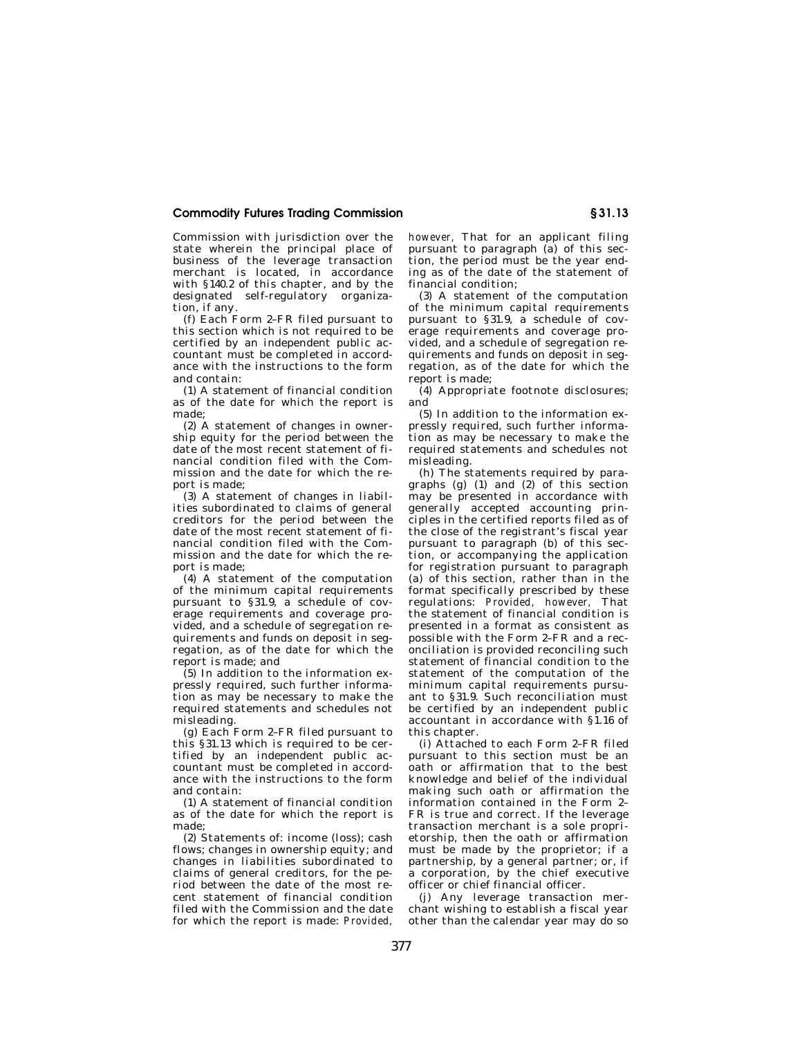## **Commodity Futures Trading Commission § 31.13**

Commission with jurisdiction over the state wherein the principal place of business of the leverage transaction merchant is located, in accordance with §140.2 of this chapter, and by the designated self-regulatory organization, if any.

(f) Each Form 2–FR filed pursuant to this section which is not required to be certified by an independent public accountant must be completed in accordance with the instructions to the form and contain:

(1) A statement of financial condition as of the date for which the report is made;

(2) A statement of changes in ownership equity for the period between the date of the most recent statement of financial condition filed with the Commission and the date for which the report is made;

(3) A statement of changes in liabilities subordinated to claims of general creditors for the period between the date of the most recent statement of financial condition filed with the Commission and the date for which the report is made;

(4) A statement of the computation of the minimum capital requirements pursuant to §31.9, a schedule of coverage requirements and coverage provided, and a schedule of segregation requirements and funds on deposit in segregation, as of the date for which the report is made; and

(5) In addition to the information expressly required, such further information as may be necessary to make the required statements and schedules not misleading.

(g) Each Form 2–FR filed pursuant to this §31.13 which is required to be certified by an independent public accountant must be completed in accordance with the instructions to the form and contain:

(1) A statement of financial condition as of the date for which the report is made;

(2) Statements of: income (loss); cash flows; changes in ownership equity; and changes in liabilities subordinated to claims of general creditors, for the period between the date of the most recent statement of financial condition filed with the Commission and the date for which the report is made: *Provided,*  *however,* That for an applicant filing pursuant to paragraph (a) of this section, the period must be the year ending as of the date of the statement of financial condition;

(3) A statement of the computation of the minimum capital requirements pursuant to §31.9, a schedule of coverage requirements and coverage provided, and a schedule of segregation requirements and funds on deposit in segregation, as of the date for which the report is made;

(4) Appropriate footnote disclosures; and

(5) In addition to the information expressly required, such further information as may be necessary to make the required statements and schedules not misleading.

(h) The statements required by paragraphs  $(g)$  (1) and (2) of this section may be presented in accordance with generally accepted accounting principles in the certified reports filed as of the close of the registrant's fiscal year pursuant to paragraph (b) of this section, or accompanying the application for registration pursuant to paragraph (a) of this section, rather than in the format specifically prescribed by these regulations: *Provided, however,* That the statement of financial condition is presented in a format as consistent as possible with the Form 2–FR and a reconciliation is provided reconciling such statement of financial condition to the statement of the computation of the minimum capital requirements pursuant to §31.9. Such reconciliation must be certified by an independent public accountant in accordance with §1.16 of this chapter.

(i) Attached to each Form 2–FR filed pursuant to this section must be an oath or affirmation that to the best knowledge and belief of the individual making such oath or affirmation the information contained in the Form 2– FR is true and correct. If the leverage transaction merchant is a sole proprietorship, then the oath or affirmation must be made by the proprietor; if a partnership, by a general partner; or, if a corporation, by the chief executive officer or chief financial officer.

(j) Any leverage transaction merchant wishing to establish a fiscal year other than the calendar year may do so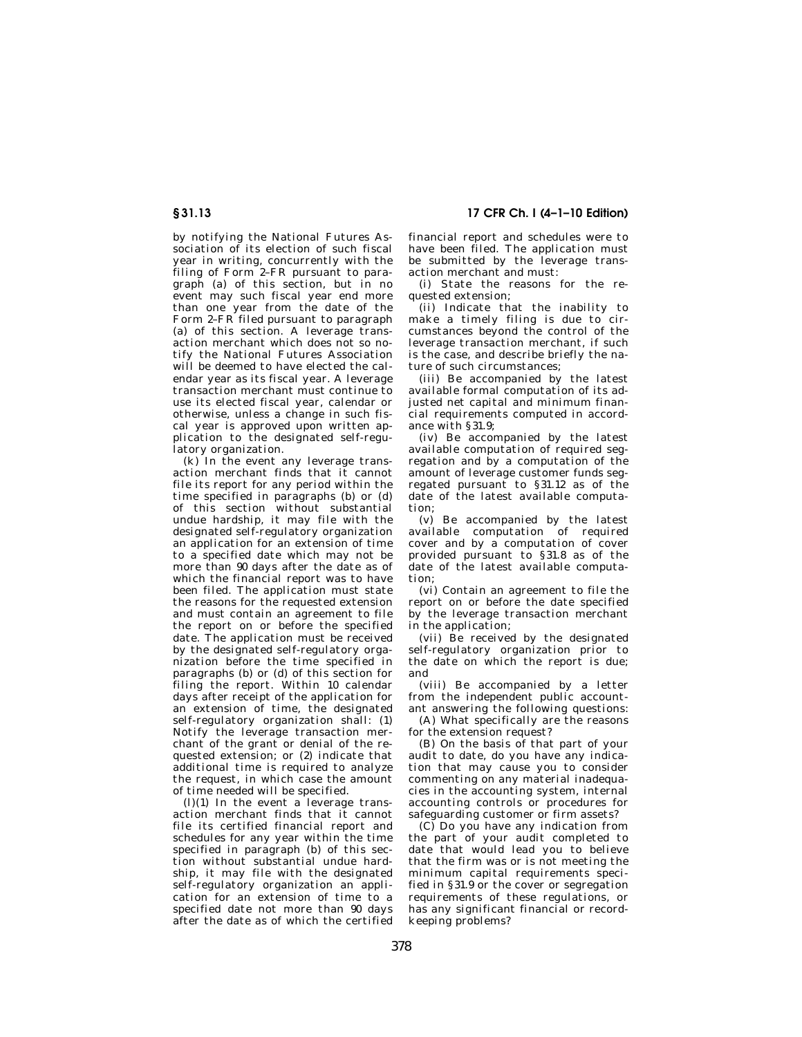# **§ 31.13 17 CFR Ch. I (4–1–10 Edition)**

by notifying the National Futures Association of its election of such fiscal year in writing, concurrently with the filing of Form 2–FR pursuant to paragraph (a) of this section, but in no event may such fiscal year end more than one year from the date of the Form 2–FR filed pursuant to paragraph (a) of this section. A leverage transaction merchant which does not so notify the National Futures Association will be deemed to have elected the calendar year as its fiscal year. A leverage transaction merchant must continue to use its elected fiscal year, calendar or otherwise, unless a change in such fiscal year is approved upon written application to the designated self-regulatory organization.

(k) In the event any leverage transaction merchant finds that it cannot file its report for any period within the time specified in paragraphs (b) or (d) of this section without substantial undue hardship, it may file with the designated self-regulatory organization an application for an extension of time to a specified date which may not be more than 90 days after the date as of which the financial report was to have been filed. The application must state the reasons for the requested extension and must contain an agreement to file the report on or before the specified date. The application must be received by the designated self-regulatory organization before the time specified in paragraphs (b) or (d) of this section for filing the report. Within 10 calendar days after receipt of the application for an extension of time, the designated self-regulatory organization shall: (1) Notify the leverage transaction merchant of the grant or denial of the requested extension; or (2) indicate that additional time is required to analyze the request, in which case the amount of time needed will be specified.

 $(l)(1)$  In the event a leverage transaction merchant finds that it cannot file its certified financial report and schedules for any year within the time specified in paragraph (b) of this section without substantial undue hardship, it may file with the designated self-regulatory organization an application for an extension of time to a specified date not more than 90 days after the date as of which the certified

financial report and schedules were to have been filed. The application must be submitted by the leverage transaction merchant and must:

(i) State the reasons for the requested extension;

(ii) Indicate that the inability to make a timely filing is due to circumstances beyond the control of the leverage transaction merchant, if such is the case, and describe briefly the nature of such circumstances;

(iii) Be accompanied by the latest available formal computation of its adjusted net capital and minimum financial requirements computed in accordance with §31.9;

(iv) Be accompanied by the latest available computation of required segregation and by a computation of the amount of leverage customer funds segregated pursuant to §31.12 as of the date of the latest available computation;

(v) Be accompanied by the latest available computation of required cover and by a computation of cover provided pursuant to §31.8 as of the date of the latest available computation;

(vi) Contain an agreement to file the report on or before the date specified by the leverage transaction merchant in the application;

(vii) Be received by the designated self-regulatory organization prior to the date on which the report is due; and

(viii) Be accompanied by a letter from the independent public accountant answering the following questions:

(A) What specifically are the reasons for the extension request?

(B) On the basis of that part of your audit to date, do you have any indication that may cause you to consider commenting on any material inadequacies in the accounting system, internal accounting controls or procedures for safeguarding customer or firm assets?

(C) Do you have any indication from the part of your audit completed to date that would lead you to believe that the firm was or is not meeting the minimum capital requirements specified in §31.9 or the cover or segregation requirements of these regulations, or has any significant financial or recordkeeping problems?